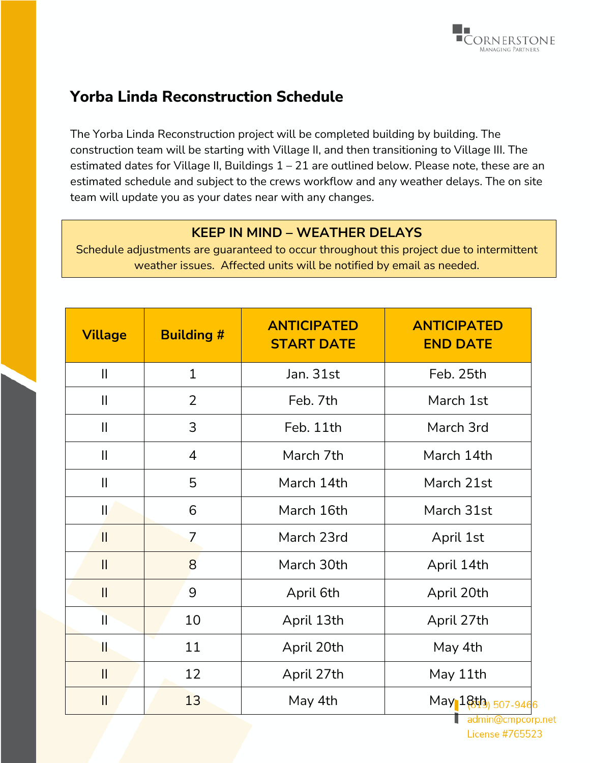

## **Yorba Linda Reconstruction Schedule**

The Yorba Linda Reconstruction project will be completed building by building. The construction team will be starting with Village II, and then transitioning to Village III. The estimated dates for Village II, Buildings 1 – 21 are outlined below. Please note, these are an estimated schedule and subject to the crews workflow and any weather delays. The on site team will update you as your dates near with any changes.

## **KEEP IN MIND – WEATHER DELAYS**

Schedule adjustments are guaranteed to occur throughout this project due to intermittent weather issues. Affected units will be notified by email as needed.

| <b>Village</b> | <b>Building #</b> | <b>ANTICIPATED</b><br><b>START DATE</b> | <b>ANTICIPATED</b><br><b>END DATE</b> |
|----------------|-------------------|-----------------------------------------|---------------------------------------|
| $\mathbf{II}$  | $\mathbf{1}$      | Jan. 31st                               | Feb. 25th                             |
| $\mathbf{II}$  | $\overline{2}$    | Feb. 7th                                | March 1st                             |
| $\mathbf{  }$  | 3                 | Feb. 11th                               | March 3rd                             |
| $\mathbf{II}$  | $\overline{4}$    | March 7th                               | March 14th                            |
| $\mathbf{II}$  | 5                 | March 14th                              | March 21st                            |
| $\mathbf{  }$  | 6                 | March 16th                              | March 31st                            |
| $\mathbf{I}$   | $\overline{7}$    | March 23rd                              | April 1st                             |
| $\mathbf{I}$   | 8                 | March 30th                              | April 14th                            |
| $\mathbf{II}$  | 9                 | April 6th                               | April 20th                            |
| $\mathbf{I}$   | 10                | April 13th                              | April 27th                            |
| T              | 11                | April 20th                              | May 4th                               |
| $\mathbf{I}$   | 12                | April 27th                              | May 11th                              |
| $\mathbf{I}$   | 13                | May 4th                                 | May 18th 507-9466                     |

admin@cmpcorp.net **License #765523**